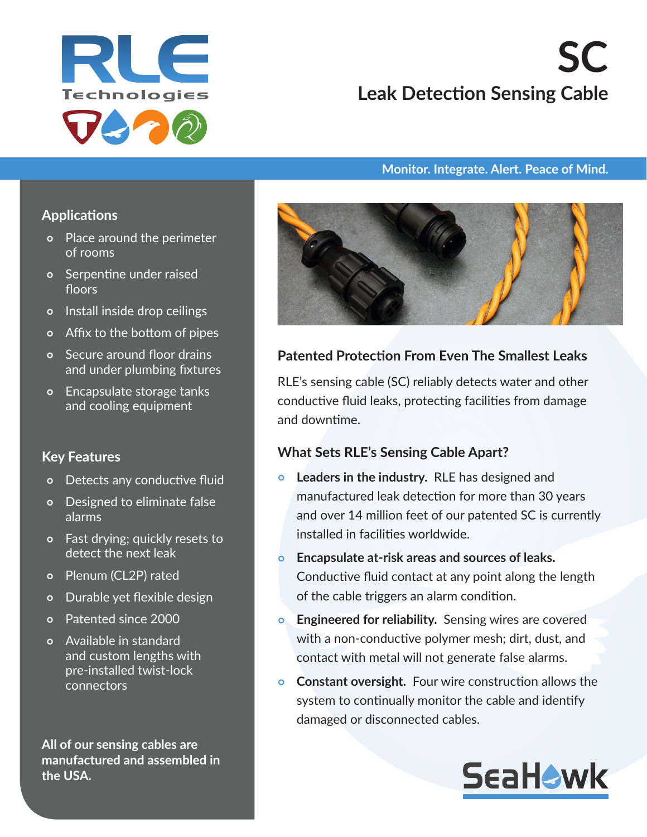

# **SC Leak Detection Sensing Cable**

#### **Monitor. Integrate. Alert. Peace of Mind.**

#### **Applications**

- Place around the perimeter of rooms
- Serpentine under raised floors
- o Install inside drop ceilings
- Affix to the bottom of pipes
- Secure around floor drains and under plumbing fixtures
- Encapsulate storage tanks and cooling equipment

#### **Key Features**

- Detects any conductive fluid
- Designed to eliminate false alarms
- Fast drying; quickly resets to detect the next leak
- Plenum (CL2P) rated
- Durable yet flexible design
- Patented since 2000
- Available in standard and custom lengths with pre-installed twist-lock connectors

**All of our sensing cables are manufactured and assembled in the USA.**



## **Patented Protection From Even The Smallest Leaks**

RLE's sensing cable (SC) reliably detects water and other conductive fluid leaks, protecting facilities from damage and downtime.

## **What Sets RLE's Sensing Cable Apart?**

- **Leaders in the industry.** RLE has designed and manufactured leak detection for more than 30 years and over 14 million feet of our patented SC is currently installed in facilities worldwide.
- **Encapsulate at-risk areas and sources of leaks.**  Conductive fluid contact at any point along the length of the cable triggers an alarm condition.
- **Engineered for reliability.** Sensing wires are covered with a non-conductive polymer mesh; dirt, dust, and contact with metal will not generate false alarms.
- **Constant oversight.** Four wire construction allows the system to continually monitor the cable and identify damaged or disconnected cables.